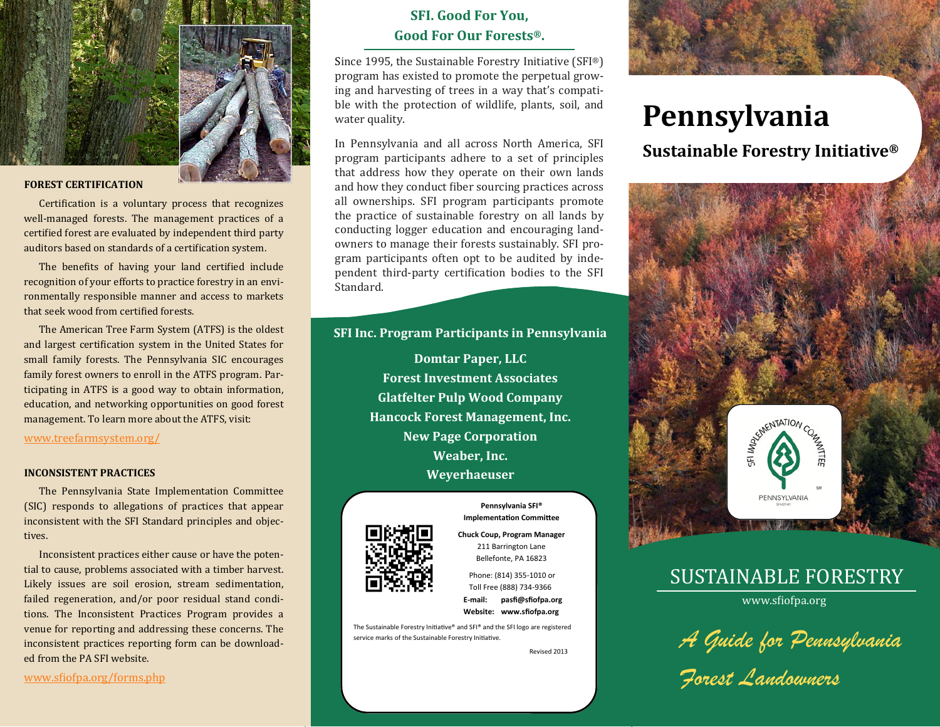

### **FOREST CERTIFICATION**

Certification is a voluntary process that recognizes well-managed forests. The management practices of a certified forest are evaluated by independent third party auditors based on standards of a certification system.

The benefits of having your land certified include recognition of your efforts to practice forestry in an environmentally responsible manner and access to markets that seek wood from certified forests.

The American Tree Farm System (ATFS) is the oldest and largest certification system in the United States for small family forests. The Pennsylvania SIC encourages family forest owners to enroll in the ATFS program. Participating in ATFS is a good way to obtain information, education, and networking opportunities on good forest management. To learn more about the ATFS, visit:

### www.treefarmsystem.org/

#### **INCONSISTENT PRACTICES**

The Pennsylvania State Implementation Committee (SIC) responds to allegations of practices that appear inconsistent with the SFI Standard principles and objectives. 

Inconsistent practices either cause or have the potential to cause, problems associated with a timber harvest. Likely issues are soil erosion, stream sedimentation, failed regeneration, and/or poor residual stand conditions. The Inconsistent Practices Program provides a venue for reporting and addressing these concerns. The inconsistent practices reporting form can be downloaded from the PA SFI website.

# **SFI. Good For You, Good For Our Forests®.**

Since 1995, the Sustainable Forestry Initiative  $(SFI<sup>®</sup>)$ program has existed to promote the perpetual growing and harvesting of trees in a way that's compatible with the protection of wildlife, plants, soil, and water quality.

In Pennsylvania and all across North America, SFI program participants adhere to a set of principles that address how they operate on their own lands and how they conduct fiber sourcing practices across all ownerships. SFI program participants promote the practice of sustainable forestry on all lands by conducting logger education and encouraging landowners to manage their forests sustainably. SFI program participants often opt to be audited by independent third-party certification bodies to the SFI Standard. 

## **SFI Inc. Program Participants in Pennsylvania**

**Domtar Paper, LLC Forest Investment Associates Glatfelter Pulp Wood Company Hancock Forest Management, Inc. New Page Corporation Weaber, Inc. Weyerhaeuser** 



**Pennsylvania SFI® ImplementaƟon CommiƩee**

#### **Chuck Coup, Program Manager**  211 Barrington Lane Bellefonte, PA 16823

Phone: (814) 355-1010 or Toll Free (888) 734-9366 **E-mail: pasfi@sfiofpa.org** 

**Website: www.sfiofpa.org** 

The Sustainable Forestry Initiative® and SFI® and the SFI logo are registered service marks of the Sustainable Forestry Initiative.

Revised 2013

# **Pennsylvania**

**Sustainable Forestry Initiative®**



# SUSTAINABLE FORESTRY

www.sfiofpa.org

*A Guide for Pennsylvania* 

*Forest Landowners* 

www.sfiofpa.org/forms.php